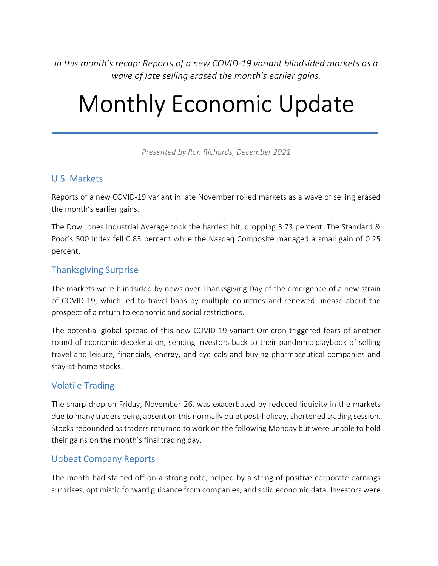In this month's recap: Reports of a new COVID-19 variant blindsided markets as a wave of late selling erased the month's earlier gains.

# Monthly Economic Update

Presented by Ron Richards, December 2021

# U.S. Markets

Reports of a new COVID-19 variant in late November roiled markets as a wave of selling erased the month's earlier gains.

The Dow Jones Industrial Average took the hardest hit, dropping 3.73 percent. The Standard & Poor's 500 Index fell 0.83 percent while the Nasdaq Composite managed a small gain of 0.25 percent.<sup>1</sup>

### Thanksgiving Surprise

The markets were blindsided by news over Thanksgiving Day of the emergence of a new strain of COVID-19, which led to travel bans by multiple countries and renewed unease about the prospect of a return to economic and social restrictions.

The potential global spread of this new COVID-19 variant Omicron triggered fears of another round of economic deceleration, sending investors back to their pandemic playbook of selling travel and leisure, financials, energy, and cyclicals and buying pharmaceutical companies and stay-at-home stocks.

### Volatile Trading

The sharp drop on Friday, November 26, was exacerbated by reduced liquidity in the markets due to many traders being absent on this normally quiet post-holiday, shortened trading session. Stocks rebounded as traders returned to work on the following Monday but were unable to hold their gains on the month's final trading day.

### Upbeat Company Reports

The month had started off on a strong note, helped by a string of positive corporate earnings surprises, optimistic forward guidance from companies, and solid economic data. Investors were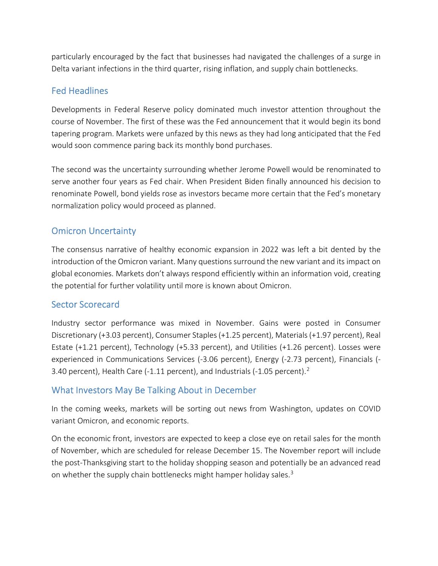particularly encouraged by the fact that businesses had navigated the challenges of a surge in Delta variant infections in the third quarter, rising inflation, and supply chain bottlenecks.

# Fed Headlines

Developments in Federal Reserve policy dominated much investor attention throughout the course of November. The first of these was the Fed announcement that it would begin its bond tapering program. Markets were unfazed by this news as they had long anticipated that the Fed would soon commence paring back its monthly bond purchases.

The second was the uncertainty surrounding whether Jerome Powell would be renominated to serve another four years as Fed chair. When President Biden finally announced his decision to renominate Powell, bond yields rose as investors became more certain that the Fed's monetary normalization policy would proceed as planned.

# Omicron Uncertainty

The consensus narrative of healthy economic expansion in 2022 was left a bit dented by the introduction of the Omicron variant. Many questions surround the new variant and its impact on global economies. Markets don't always respond efficiently within an information void, creating the potential for further volatility until more is known about Omicron.

### Sector Scorecard

Industry sector performance was mixed in November. Gains were posted in Consumer Discretionary (+3.03 percent), Consumer Staples (+1.25 percent), Materials (+1.97 percent), Real Estate (+1.21 percent), Technology (+5.33 percent), and Utilities (+1.26 percent). Losses were experienced in Communications Services (-3.06 percent), Energy (-2.73 percent), Financials (- 3.40 percent), Health Care (-1.11 percent), and Industrials (-1.05 percent).<sup>2</sup>

### What Investors May Be Talking About in December

In the coming weeks, markets will be sorting out news from Washington, updates on COVID variant Omicron, and economic reports.

On the economic front, investors are expected to keep a close eye on retail sales for the month of November, which are scheduled for release December 15. The November report will include the post-Thanksgiving start to the holiday shopping season and potentially be an advanced read on whether the supply chain bottlenecks might hamper holiday sales.<sup>3</sup>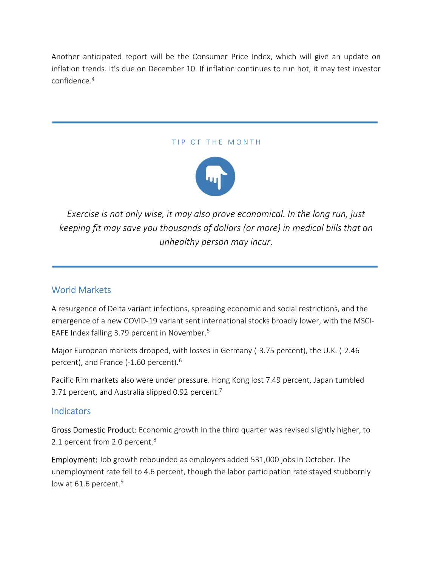Another anticipated report will be the Consumer Price Index, which will give an update on inflation trends. It's due on December 10. If inflation continues to run hot, it may test investor confidence.<sup>4</sup>

#### TIP OF THE MONTH



Exercise is not only wise, it may also prove economical. In the long run, just keeping fit may save you thousands of dollars (or more) in medical bills that an unhealthy person may incur.

### World Markets

A resurgence of Delta variant infections, spreading economic and social restrictions, and the emergence of a new COVID-19 variant sent international stocks broadly lower, with the MSCI-EAFE Index falling 3.79 percent in November.<sup>5</sup>

Major European markets dropped, with losses in Germany (-3.75 percent), the U.K. (-2.46 percent), and France (-1.60 percent).<sup>6</sup>

Pacific Rim markets also were under pressure. Hong Kong lost 7.49 percent, Japan tumbled 3.71 percent, and Australia slipped 0.92 percent.<sup>7</sup>

### **Indicators**

Gross Domestic Product: Economic growth in the third quarter was revised slightly higher, to 2.1 percent from 2.0 percent.<sup>8</sup>

Employment: Job growth rebounded as employers added 531,000 jobs in October. The unemployment rate fell to 4.6 percent, though the labor participation rate stayed stubbornly low at 61.6 percent. $9$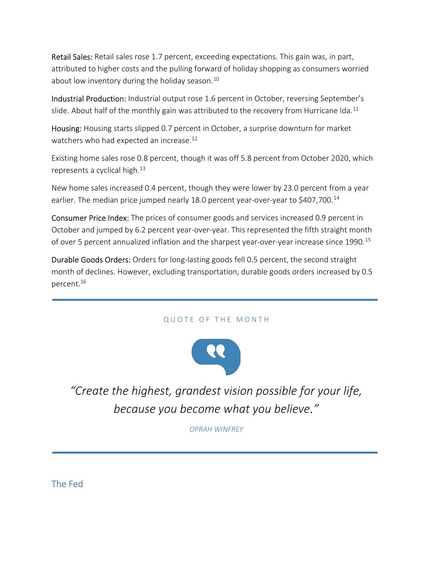Retail Sales: Retail sales rose 1.7 percent, exceeding expectations. This gain was, in part, attributed to higher costs and the pulling forward of holiday shopping as consumers worried about low inventory during the holiday season.<sup>10</sup>

Industrial Production: Industrial output rose 1.6 percent in October, reversing September's slide. About half of the monthly gain was attributed to the recovery from Hurricane Ida.<sup>11</sup>

Housing: Housing starts slipped 0.7 percent in October, a surprise downturn for market watchers who had expected an increase.<sup>12</sup>

Existing home sales rose 0.8 percent, though it was off 5.8 percent from October 2020, which represents a cyclical high. $^{13}$ 

New home sales increased 0.4 percent, though they were lower by 23.0 percent from a year earlier. The median price jumped nearly 18.0 percent year-over-year to \$407,700.<sup>14</sup>

Consumer Price Index: The prices of consumer goods and services increased 0.9 percent in October and jumped by 6.2 percent year-over-year. This represented the fifth straight month of over 5 percent annualized inflation and the sharpest year-over-year increase since 1990.<sup>15</sup>

Durable Goods Orders: Orders for long-lasting goods fell 0.5 percent, the second straight month of declines. However, excluding transportation, durable goods orders increased by 0.5 percent.<sup>16</sup>

#### QUOTE OF THE MONTH



"Create the highest, grandest vision possible for your life, because you become what you believe."

OPRAH WINFREY

The Fed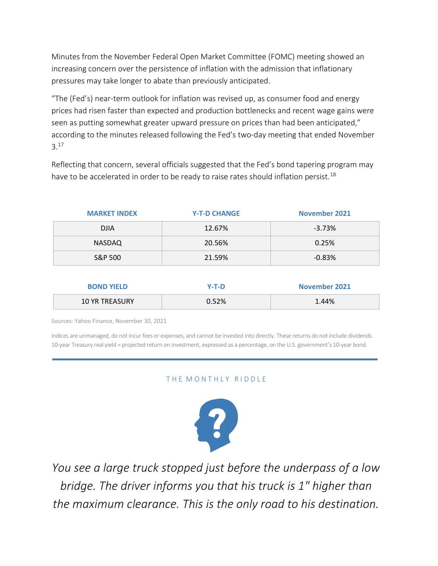Minutes from the November Federal Open Market Committee (FOMC) meeting showed an increasing concern over the persistence of inflation with the admission that inflationary pressures may take longer to abate than previously anticipated.

"The (Fed's) near-term outlook for inflation was revised up, as consumer food and energy prices had risen faster than expected and production bottlenecks and recent wage gains were seen as putting somewhat greater upward pressure on prices than had been anticipated," according to the minutes released following the Fed's two-day meeting that ended November 3.<sup>17</sup>

Reflecting that concern, several officials suggested that the Fed's bond tapering program may have to be accelerated in order to be ready to raise rates should inflation persist.<sup>18</sup>

| <b>MARKET INDEX</b> | <b>Y-T-D CHANGE</b> | <b>November 2021</b>                             |
|---------------------|---------------------|--------------------------------------------------|
| <b>DJIA</b>         | 12.67%              | $-3.73%$                                         |
| <b>NASDAQ</b>       | 20.56%              | 0.25%                                            |
| S&P 500             | 21.59%              | $-0.83%$                                         |
|                     |                     |                                                  |
| <b>BOND YIELD</b>   | $Y-T-D$             | <b>November 2021</b><br><b>The Second Second</b> |

Sources: Yahoo Finance, November 30, 2021

Indices are unmanaged, do not incur fees or expenses, and cannot be invested into directly. These returns do not include dividends. 10-year Treasury real yield = projected return on investment, expressed as a percentage, on the U.S. government's 10-year bond.

10 YR TREASURY 0.52% 1.44%

#### THE MONTHLY RIDDLE



You see a large truck stopped just before the underpass of a low bridge. The driver informs you that his truck is 1" higher than the maximum clearance. This is the only road to his destination.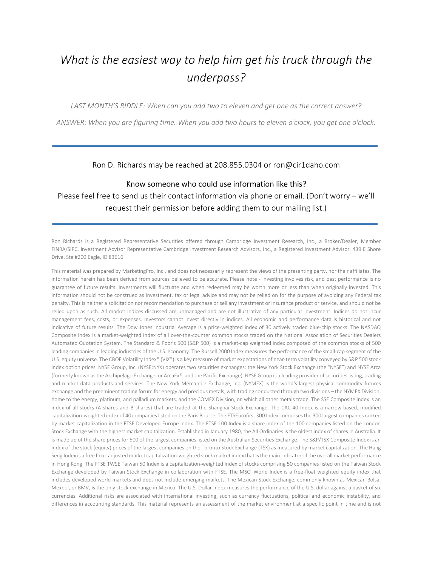# What is the easiest way to help him get his truck through the underpass?

LAST MONTH'S RIDDLE: When can you add two to eleven and get one as the correct answer?

ANSWER: When you are figuring time. When you add two hours to eleven o'clock, you get one o'clock.

Ron D. Richards may be reached at 208.855.0304 or ron@cir1daho.com

#### Know someone who could use information like this?

Please feel free to send us their contact information via phone or email. (Don't worry – we'll request their permission before adding them to our mailing list.)

Ron Richards is a Registered Representative Securities offered through Cambridge Investment Research, Inc., a Broker/Dealer, Member FINRA/SIPC. Investment Advisor Representative Cambridge Investment Research Advisors, Inc., a Registered Investment Advisor. 439 E Shore Drive, Ste #200 Eagle, ID 83616

This material was prepared by MarketingPro, Inc., and does not necessarily represent the views of the presenting party, nor their affiliates. The information herein has been derived from sources believed to be accurate. Please note - investing involves risk, and past performance is no guarantee of future results. Investments will fluctuate and when redeemed may be worth more or less than when originally invested. This information should not be construed as investment, tax or legal advice and may not be relied on for the purpose of avoiding any Federal tax penalty. This is neither a solicitation nor recommendation to purchase or sell any investment or insurance product or service, and should not be relied upon as such. All market indices discussed are unmanaged and are not illustrative of any particular investment. Indices do not incur management fees, costs, or expenses. Investors cannot invest directly in indices. All economic and performance data is historical and not indicative of future results. The Dow Jones Industrial Average is a price-weighted index of 30 actively traded blue-chip stocks. The NASDAQ Composite Index is a market-weighted index of all over-the-counter common stocks traded on the National Association of Securities Dealers Automated Quotation System. The Standard & Poor's 500 (S&P 500) is a market-cap weighted index composed of the common stocks of 500 leading companies in leading industries of the U.S. economy. The Russell 2000 Index measures the performance of the small-cap segment of the U.S. equity universe. The CBOE Volatility Index® (VIX®) is a key measure of market expectations of near-term volatility conveyed by S&P 500 stock index option prices. NYSE Group, Inc. (NYSE:NYX) operates two securities exchanges: the New York Stock Exchange (the "NYSE") and NYSE Arca (formerly known as the Archipelago Exchange, or ArcaEx®, and the Pacific Exchange). NYSE Group is a leading provider of securities listing, trading and market data products and services. The New York Mercantile Exchange, Inc. (NYMEX) is the world's largest physical commodity futures exchange and the preeminent trading forum for energy and precious metals, with trading conducted through two divisions – the NYMEX Division, home to the energy, platinum, and palladium markets, and the COMEX Division, on which all other metals trade. The SSE Composite Index is an index of all stocks (A shares and B shares) that are traded at the Shanghai Stock Exchange. The CAC-40 Index is a narrow-based, modified capitalization-weighted index of 40 companies listed on the Paris Bourse. The FTSEurofirst 300 Index comprises the 300 largest companies ranked by market capitalization in the FTSE Developed Europe Index. The FTSE 100 Index is a share index of the 100 companies listed on the London Stock Exchange with the highest market capitalization. Established in January 1980, the All Ordinaries is the oldest index of shares in Australia. It is made up of the share prices for 500 of the largest companies listed on the Australian Securities Exchange. The S&P/TSX Composite Index is an index of the stock (equity) prices of the largest companies on the Toronto Stock Exchange (TSX) as measured by market capitalization. The Hang Seng Index is a free float-adjusted market capitalization-weighted stock market index that is the main indicator of the overall market performance in Hong Kong. The FTSE TWSE Taiwan 50 Index is a capitalization-weighted index of stocks comprising 50 companies listed on the Taiwan Stock Exchange developed by Taiwan Stock Exchange in collaboration with FTSE. The MSCI World Index is a free-float weighted equity index that includes developed world markets and does not include emerging markets. The Mexican Stock Exchange, commonly known as Mexican Bolsa, Mexbol, or BMV, is the only stock exchange in Mexico. The U.S. Dollar Index measures the performance of the U.S. dollar against a basket of six currencies. Additional risks are associated with international investing, such as currency fluctuations, political and economic instability, and differences in accounting standards. This material represents an assessment of the market environment at a specific point in time and is not